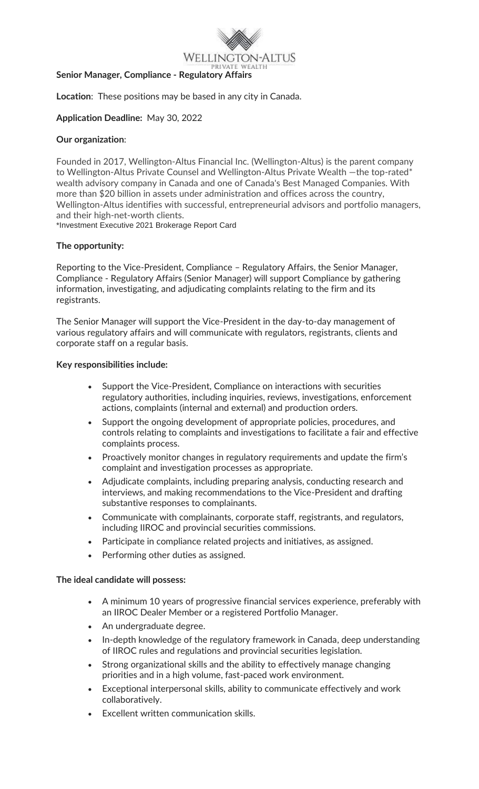

### **Senior Manager, Compliance - Regulatory Affairs**

**Location**: These positions may be based in any city in Canada.

## **Application Deadline:** May 30, 2022

## **Our organization**:

Founded in 2017, Wellington-Altus Financial Inc. (Wellington-Altus) is the parent company to Wellington-Altus Private Counsel and Wellington-Altus Private Wealth - the top-rated\* wealth advisory company in Canada and one of Canada's Best Managed Companies. With more than \$20 billion in assets under administration and offices across the country, Wellington-Altus identifies with successful, entrepreneurial advisors and portfolio managers, and their high-net-worth clients.

\*Investment Executive 2021 Brokerage Report Card

# **The opportunity:**

Reporting to the Vice-President, Compliance – Regulatory Affairs, the Senior Manager, Compliance - Regulatory Affairs (Senior Manager) will support Compliance by gathering information, investigating, and adjudicating complaints relating to the firm and its registrants.

The Senior Manager will support the Vice-President in the day-to-day management of various regulatory affairs and will communicate with regulators, registrants, clients and corporate staff on a regular basis.

## **Key responsibilities include:**

- Support the Vice-President, Compliance on interactions with securities regulatory authorities, including inquiries, reviews, investigations, enforcement actions, complaints (internal and external) and production orders.
- Support the ongoing development of appropriate policies, procedures, and controls relating to complaints and investigations to facilitate a fair and effective complaints process.
- Proactively monitor changes in regulatory requirements and update the firm's complaint and investigation processes as appropriate.
- Adjudicate complaints, including preparing analysis, conducting research and interviews, and making recommendations to the Vice-President and drafting substantive responses to complainants.
- Communicate with complainants, corporate staff, registrants, and regulators, including IIROC and provincial securities commissions.
- Participate in compliance related projects and initiatives, as assigned.
- Performing other duties as assigned.

## **The ideal candidate will possess:**

- A minimum 10 years of progressive financial services experience, preferably with an IIROC Dealer Member or a registered Portfolio Manager.
- An undergraduate degree.
- In-depth knowledge of the regulatory framework in Canada, deep understanding of IIROC rules and regulations and provincial securities legislation.
- Strong organizational skills and the ability to effectively manage changing priorities and in a high volume, fast-paced work environment.
- Exceptional interpersonal skills, ability to communicate effectively and work collaboratively.
- Excellent written communication skills.